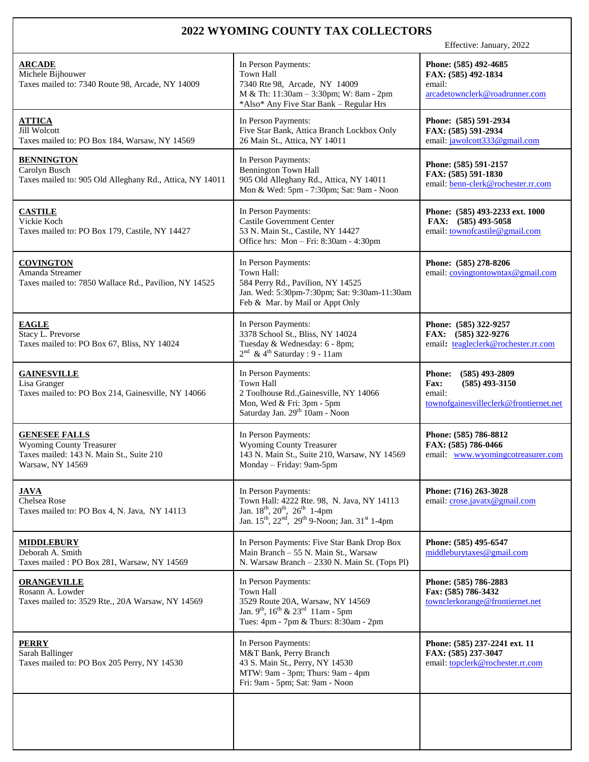## **2022 WYOMING COUNTY TAX COLLECTORS**

Effective: January, 2022

| <b>ARCADE</b><br>Michele Bijhouwer<br>Taxes mailed to: 7340 Route 98, Arcade, NY 14009                                  | In Person Payments:<br><b>Town Hall</b><br>7340 Rte 98, Arcade, NY 14009<br>M & Th: 11:30am - 3:30pm; W: 8am - 2pm<br>*Also* Any Five Star Bank - Regular Hrs                                                                             | Phone: (585) 492-4685<br>FAX: (585) 492-1834<br>email:<br>arcadetownclerk@roadrunner.com                          |
|-------------------------------------------------------------------------------------------------------------------------|-------------------------------------------------------------------------------------------------------------------------------------------------------------------------------------------------------------------------------------------|-------------------------------------------------------------------------------------------------------------------|
| <b>ATTICA</b><br><b>Jill Wolcott</b><br>Taxes mailed to: PO Box 184, Warsaw, NY 14569                                   | In Person Payments:<br>Five Star Bank, Attica Branch Lockbox Only<br>26 Main St., Attica, NY 14011                                                                                                                                        | Phone: (585) 591-2934<br>FAX: (585) 591-2934<br>email: jawolcott333@gmail.com                                     |
| <b>BENNINGTON</b><br>Carolyn Busch<br>Taxes mailed to: 905 Old Alleghany Rd., Attica, NY 14011                          | In Person Payments:<br><b>Bennington Town Hall</b><br>905 Old Alleghany Rd., Attica, NY 14011<br>Mon & Wed: 5pm - 7:30pm; Sat: 9am - Noon                                                                                                 | Phone: (585) 591-2157<br>FAX: (585) 591-1830<br>email: benn-clerk@rochester.rr.com                                |
| <b>CASTILE</b><br>Vickie Koch<br>Taxes mailed to: PO Box 179, Castile, NY 14427                                         | In Person Payments:<br><b>Castile Government Center</b><br>53 N. Main St., Castile, NY 14427<br>Office hrs: Mon - Fri: 8:30am - 4:30pm                                                                                                    | Phone: (585) 493-2233 ext. 1000<br>FAX: (585) 493-5058<br>email: townofcastile@gmail.com                          |
| <b>COVINGTON</b><br>Amanda Streamer<br>Taxes mailed to: 7850 Wallace Rd., Pavilion, NY 14525                            | In Person Payments:<br>Town Hall:<br>584 Perry Rd., Pavilion, NY 14525<br>Jan. Wed: 5:30pm-7:30pm; Sat: 9:30am-11:30am<br>Feb & Mar. by Mail or Appt Only                                                                                 | Phone: (585) 278-8206<br>email: covingtontowntax@gmail.com                                                        |
| <b>EAGLE</b><br>Stacy L. Prevorse<br>Taxes mailed to: PO Box 67, Bliss, NY 14024                                        | In Person Payments:<br>3378 School St., Bliss, NY 14024<br>Tuesday & Wednesday: 6 - 8pm;<br>$2nd$ & 4 <sup>th</sup> Saturday : 9 - 11am                                                                                                   | Phone: (585) 322-9257<br>FAX: (585) 322-9276<br>email: teagleclerk@rochester.rr.com                               |
| <b>GAINESVILLE</b><br>Lisa Granger<br>Taxes mailed to: PO Box 214, Gainesville, NY 14066                                | In Person Payments:<br><b>Town Hall</b><br>2 Toolhouse Rd., Gainesville, NY 14066<br>Mon, Wed & Fri: 3pm - 5pm<br>Saturday Jan. 29th 10am - Noon                                                                                          | $(585)$ 493-2809<br><b>Phone:</b><br>$(585)$ 493-3150<br>Fax:<br>email:<br>townofgainesvilleclerk@frontiernet.net |
| <b>GENESEE FALLS</b><br><b>Wyoming County Treasurer</b><br>Taxes mailed: 143 N. Main St., Suite 210<br>Warsaw, NY 14569 | In Person Payments:<br><b>Wyoming County Treasurer</b><br>143 N. Main St., Suite 210, Warsaw, NY 14569<br>Monday - Friday: 9am-5pm                                                                                                        | Phone: (585) 786-8812<br>FAX: (585) 786-0466<br>email: www.wyomingcotreasurer.com                                 |
| <u>JAVA</u><br>Chelsea Rose<br>Taxes mailed to: PO Box 4, N. Java, NY 14113                                             | In Person Payments:<br>Town Hall: 4222 Rte. 98, N. Java, NY 14113<br>Jan. 18 <sup>th</sup> , 20 <sup>th</sup> , 26 <sup>th</sup> 1-4pm<br>Jan. 15 <sup>th</sup> , 22 <sup>nd</sup> , 29 <sup>th</sup> 9-Noon; Jan. 31 <sup>st</sup> 1-4pm | Phone: (716) 263-3028<br>email: crose.javatx@gmail.com                                                            |
| <b>MIDDLEBURY</b><br>Deborah A. Smith<br>Taxes mailed: PO Box 281, Warsaw, NY 14569                                     | In Person Payments: Five Star Bank Drop Box<br>Main Branch - 55 N. Main St., Warsaw<br>N. Warsaw Branch - 2330 N. Main St. (Tops Pl)                                                                                                      | Phone: (585) 495-6547<br>middleburytaxes@gmail.com                                                                |
| <b>ORANGEVILLE</b><br>Rosann A. Lowder<br>Taxes mailed to: 3529 Rte., 20A Warsaw, NY 14569                              | In Person Payments:<br><b>Town Hall</b><br>3529 Route 20A, Warsaw, NY 14569<br>Jan. 9 <sup>th</sup> , 16 <sup>th</sup> & 23 <sup>rd</sup> 11am - 5pm<br>Tues: 4pm - 7pm & Thurs: 8:30am - 2pm                                             | Phone: (585) 786-2883<br>Fax: (585) 786-3432<br>townclerkorange@frontiernet.net                                   |
| <b>PERRY</b><br>Sarah Ballinger<br>Taxes mailed to: PO Box 205 Perry, NY 14530                                          | In Person Payments:<br>M&T Bank, Perry Branch<br>43 S. Main St., Perry, NY 14530<br>MTW: 9am - 3pm; Thurs: 9am - 4pm<br>Fri: 9am - 5pm; Sat: 9am - Noon                                                                                   | Phone: (585) 237-2241 ext. 11<br>FAX: (585) 237-3047<br>email: topclerk@rochester.rr.com                          |
|                                                                                                                         |                                                                                                                                                                                                                                           |                                                                                                                   |